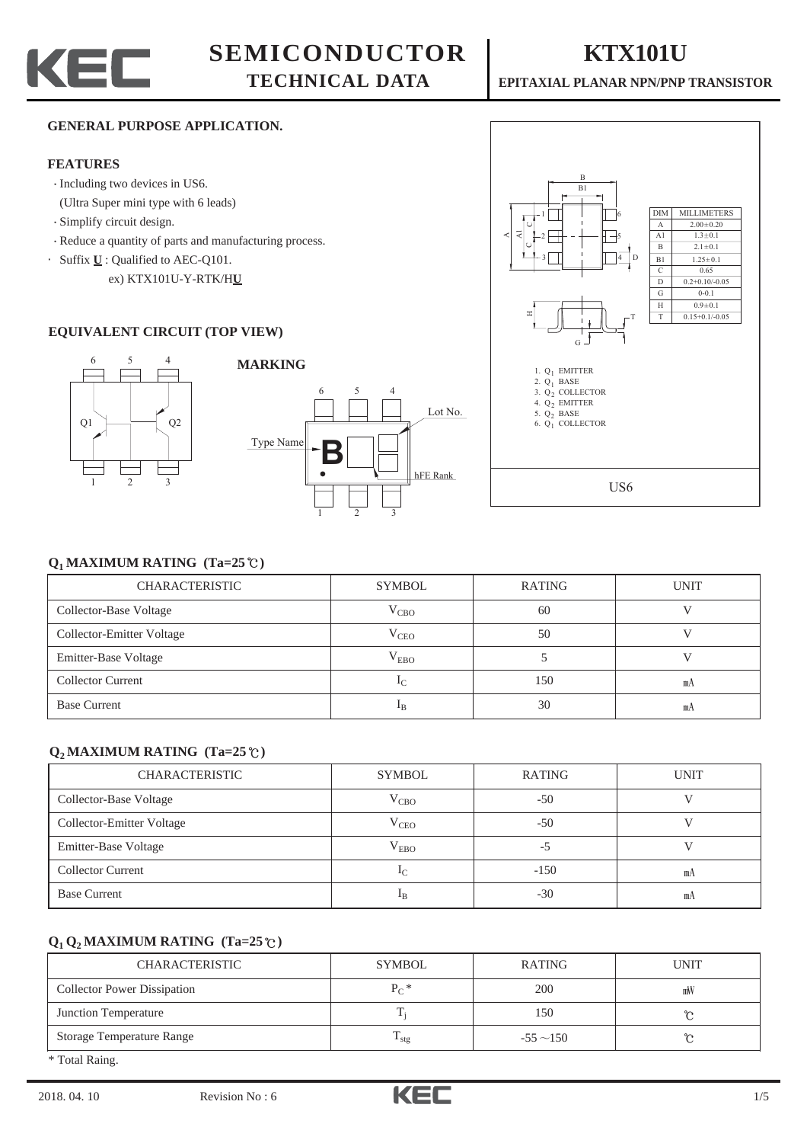



#### **GENERAL PURPOSE APPLICATION.**

#### **FEATURES**

- Including two devices in US6.
- (Ultra Super mini type with 6 leads)
- Simplify circuit design.
- Reduce a quantity of parts and manufacturing process.
- ·Suffix **U** : Qualified to AEC-Q101.
	- ex) KTX101U-Y-RTK/H**U**

#### **EQUIVALENT CIRCUIT (TOP VIEW)**







### $Q_1$  MAXIMUM RATING (Ta=25 $^{\circ}$ C)

| <b>CHARACTERISTIC</b>     | <b>SYMBOL</b>  | RATING | <b>UNIT</b> |
|---------------------------|----------------|--------|-------------|
| Collector-Base Voltage    | $V_{CBO}$      | -60    |             |
| Collector-Emitter Voltage | $V_{CEO}$      | 50     |             |
| Emitter-Base Voltage      | $V_{EBO}$      |        |             |
| <b>Collector Current</b>  | 1 <sub>C</sub> | 150    | mA          |
| <b>Base Current</b>       | $1_{\rm B}$    | 30     | mA          |

#### $Q_2$  MAXIMUM RATING (Ta=25 $^{\circ}$ C)

| <b>CHARACTERISTIC</b>     | <b>SYMBOL</b>  | <b>RATING</b> | <b>UNIT</b> |
|---------------------------|----------------|---------------|-------------|
| Collector-Base Voltage    | $V_{CBO}$      | $-50$         |             |
| Collector-Emitter Voltage | $V_{CEO}$      | $-50$         |             |
| Emitter-Base Voltage      | $V_{EBO}$      | -5            |             |
| <b>Collector Current</b>  | 1 <sub>C</sub> | $-150$        | mА          |
| <b>Base Current</b>       | $_{\rm 1B}$    | $-30$         | mA          |

## $Q_1 Q_2$  MAXIMUM RATING (Ta=25 $\degree$ C)

| <b>CHARACTERISTIC</b>              | <b>SYMBOL</b>     | RATING         | <b>UNIT</b> |
|------------------------------------|-------------------|----------------|-------------|
| <b>Collector Power Dissipation</b> | $P_{C}$ *         | 200            | mW          |
| Junction Temperature               |                   | 150            |             |
| Storage Temperature Range          | $\frac{1}{1}$ stg | $-55 \sim 150$ | ົ           |
| $1.77 \pm 1.7$                     |                   |                |             |

\* Total Raing.

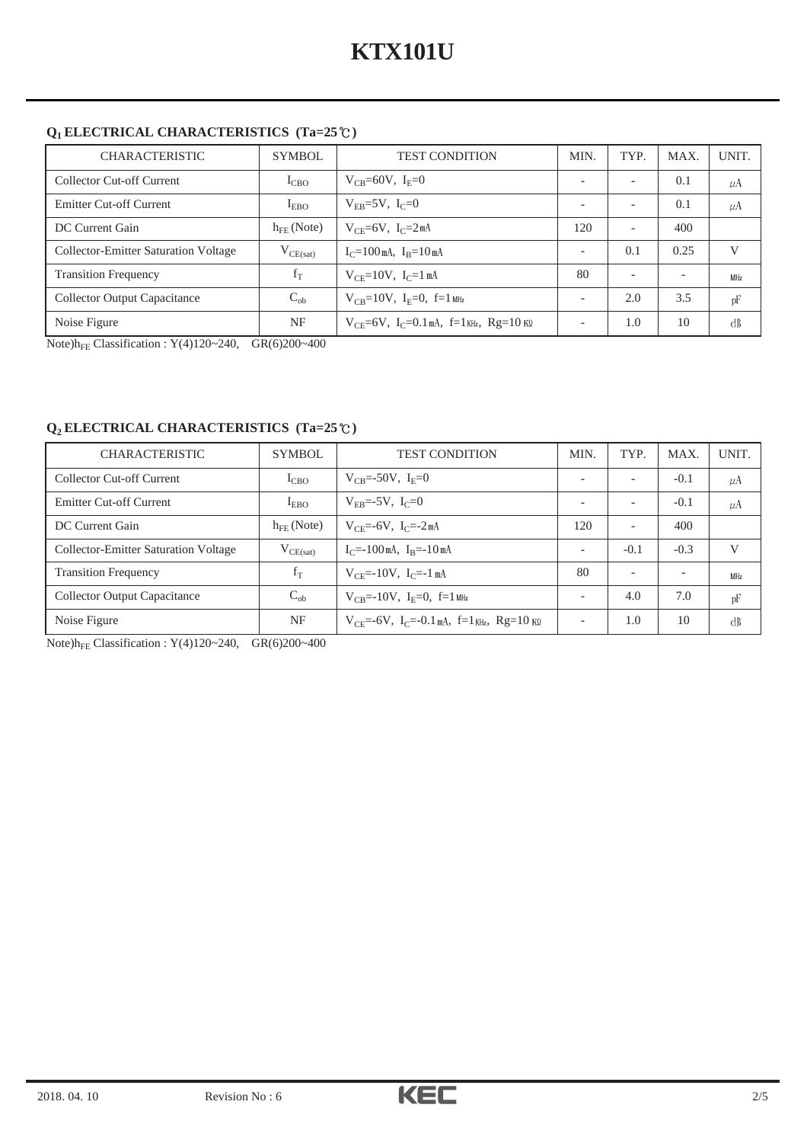# **Q1 ELECTRICAL CHARACTERISTICS (Ta=25 )**

| <b>CHARACTERISTIC</b>                       | SYMBOL          | <b>TEST CONDITION</b>                                     | MIN. | TYP.                     | <b>MAX</b>               | UNIT.           |
|---------------------------------------------|-----------------|-----------------------------------------------------------|------|--------------------------|--------------------------|-----------------|
| Collector Cut-off Current                   | $1_{CBO}$       | $V_{CR} = 60V, I_F = 0$                                   |      |                          | 0.1                      | $\mu$ A         |
| <b>Emitter Cut-off Current</b>              | $I_{EBO}$       | $V_{FB}=5V$ , $I_C=0$                                     |      |                          | 0.1                      | $\mu$ A         |
| DC Current Gain                             | $h_{EF}$ (Note) | $V_{CE}$ =6V, $I_C$ =2mA                                  | 120  | $\overline{\phantom{0}}$ | 400                      |                 |
| <b>Collector-Emitter Saturation Voltage</b> | $V_{CE(sat)}$   | $I_C = 100$ mA, $I_B = 10$ mA                             |      | 0.1                      | 0.25                     | V               |
| <b>Transition Frequency</b>                 | $f_T$           | $V_{CF} = 10V$ , $I_C = 1$ mA                             | 80   | $\overline{\phantom{0}}$ | $\overline{\phantom{a}}$ | MH <sub>z</sub> |
| Collector Output Capacitance                | $C_{ob}$        | $V_{CB} = 10V$ , $I_E = 0$ , $f = 1$ MHz                  |      | 2.0                      | 3.5                      | pF              |
| Noise Figure                                | NF              | $V_{CF} = 6V$ , $I_C = 0.1$ mA, $f = 1$ KHz, $Rg = 10$ KQ |      | 1.0                      | 10                       | dB              |

Note) $h_{FE}$  Classification : Y(4)120~240, GR(6)200~400

## **Q2 ELECTRICAL CHARACTERISTICS (Ta=25 )**

| <b>CHARACTERISTIC</b>                       | SYMBOL          | <b>TEST CONDITION</b>                                                       | MIN.                     | TYP.                     | <b>MAX</b> | UNIT.           |
|---------------------------------------------|-----------------|-----------------------------------------------------------------------------|--------------------------|--------------------------|------------|-----------------|
| Collector Cut-off Current                   | $1_{CBO}$       | $V_{CB} = -50V$ , $I_E = 0$                                                 |                          | $\overline{\phantom{0}}$ | $-0.1$     | $\mu$ A         |
| <b>Emitter Cut-off Current</b>              | $I_{EBO}$       | $V_{FB} = -5V$ , $I_C = 0$                                                  | $\overline{\phantom{0}}$ | $\overline{\phantom{0}}$ | $-0.1$     | $\mu$ A         |
| DC Current Gain                             | $h_{FE}$ (Note) | $V_{CF} = -6V$ , $I_C = -2mA$                                               | 120                      | $\overline{\phantom{a}}$ | 400        |                 |
| <b>Collector-Emitter Saturation Voltage</b> | $V_{CE(sat)}$   | $I_C = -100$ mA, $I_B = -10$ mA                                             | $\overline{\phantom{0}}$ | $-0.1$                   | $-0.3$     | V               |
| <b>Transition Frequency</b>                 | $f_T$           | $V_{CF} = -10V$ , $I_C = -1$ mA                                             | 80                       | $\overline{\phantom{0}}$ |            | MH <sub>z</sub> |
| <b>Collector Output Capacitance</b>         | $C_{ob}$        | $V_{CR}$ =-10V, I <sub>F</sub> =0, f=1 MHz                                  | $\overline{\phantom{0}}$ | 4.0                      | 7.0        | pF              |
| Noise Figure                                | NF              | $V_{\text{CE}} = -6V$ , $I_{\text{C}} = -0.1$ mA, $f = 1$ KHz, $Rg = 10$ KQ | $\overline{\phantom{a}}$ | 1.0                      | 10         | $\mathrm{dB}$   |

Note) $h_{FE}$  Classification : Y(4)120~240, GR(6)200~400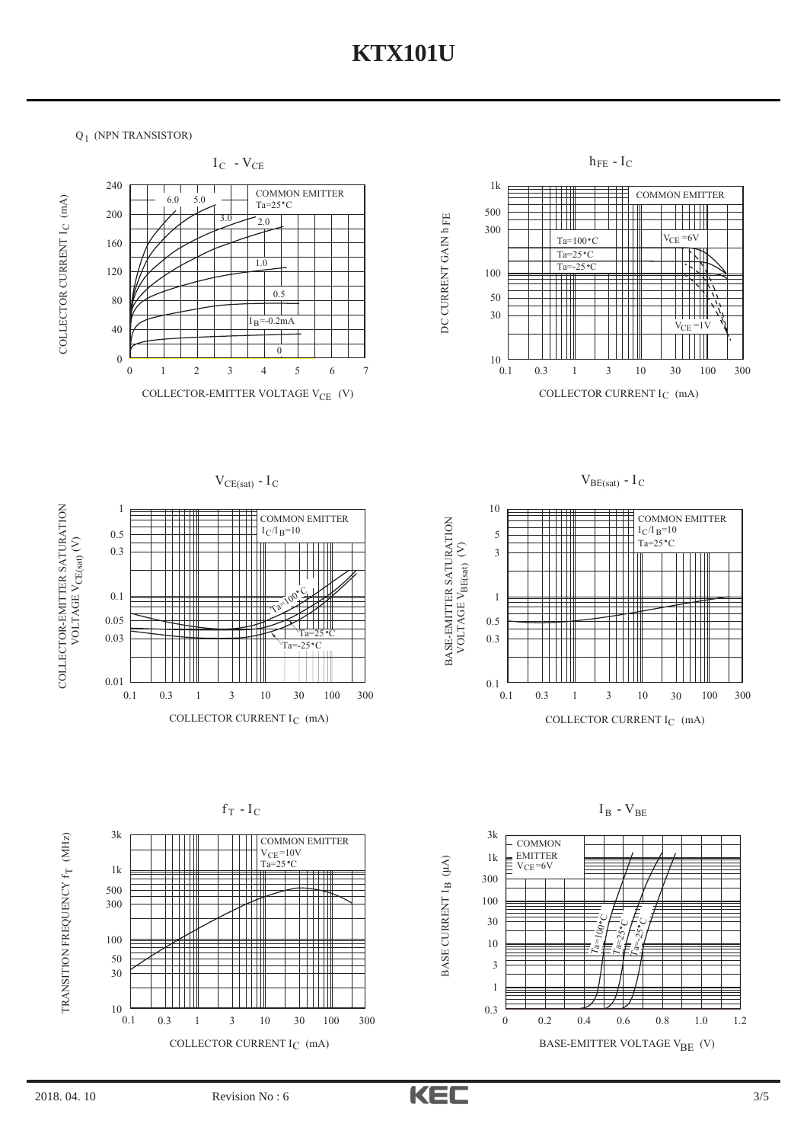$Q_1$  (NPN TRANSISTOR)





BASE CURRENT  $I_{\rm B}$  (µA)





TRANSITION FREQUENCY f<sub>T</sub> (MHz) TRANSITION FREQUENCY f (MHz)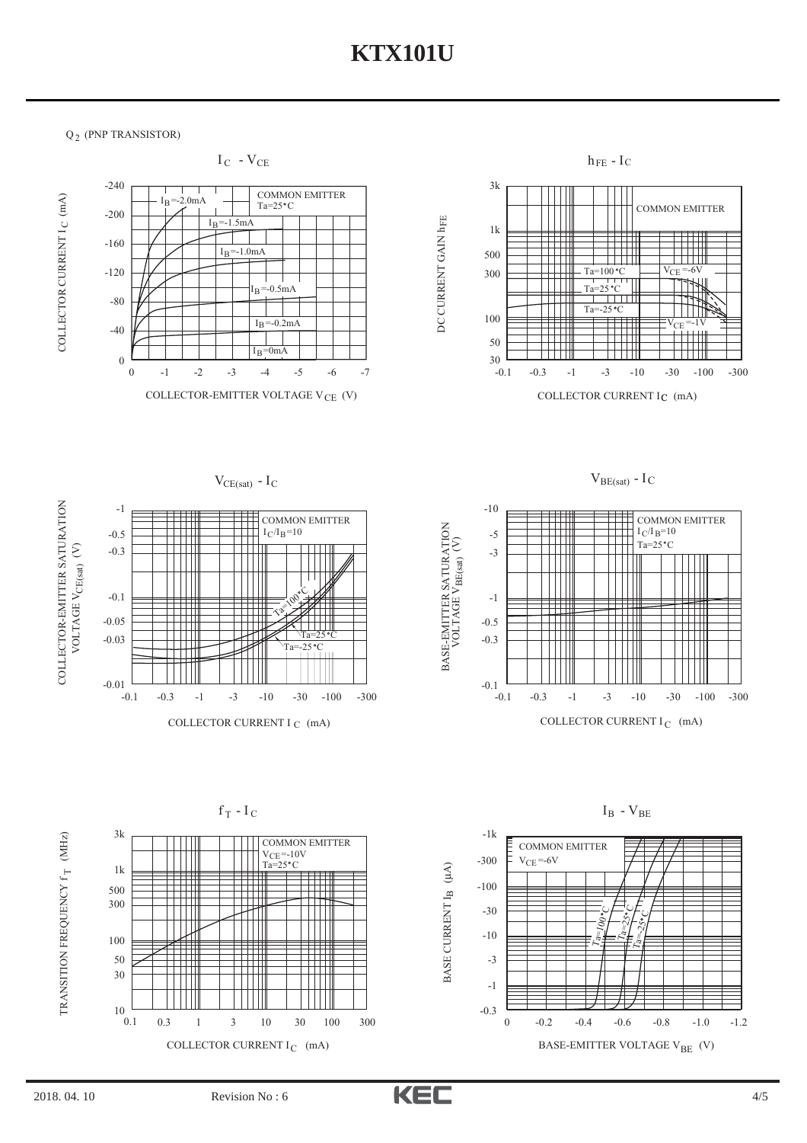$Q_2$  (PNP TRANSISTOR)



 $0.1$ 

10

COLLECTOR CURRENT  $I_C$  (mA)

0.3 1 3 10 30 100 300

![](_page_3_Picture_5.jpeg)

-0.3 0

BASE-EMITTER VOLTAGE  $\mathrm{V_{BE}}\,$  (V)

-0.2 -0.4 -0.6 -0.8 -1.0 -1.2